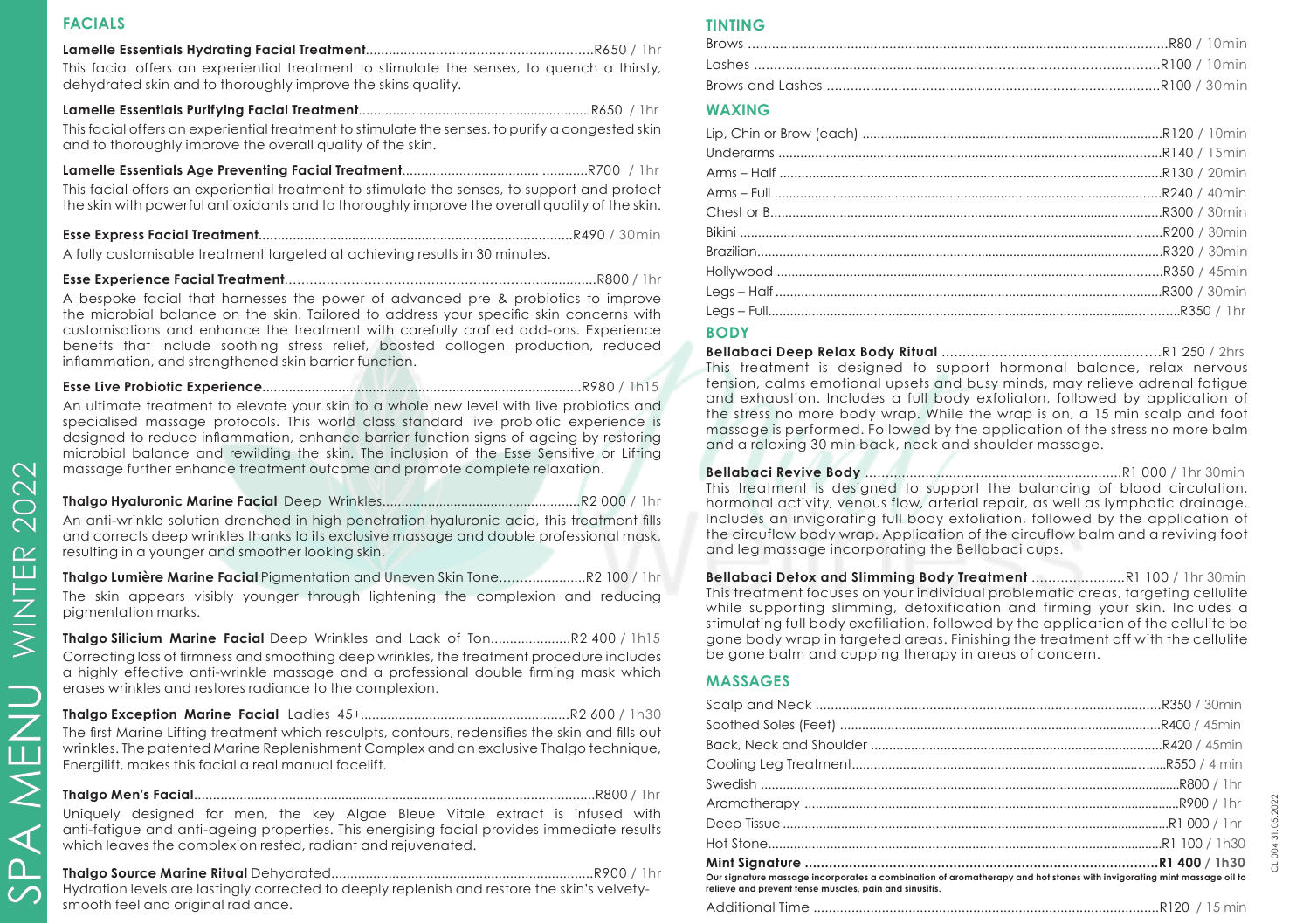#### **FACIALS**

SPA MENU

 $\overline{\mathcal{A}}$  $\Omega$  $\mathcal{C}$ 

NENU

WINTER 2022

## **Lamelle Essentials Hydrating Facial Treatment**.........................................................R650 / 1hr

This facial offers an experiential treatment to stimulate the senses, to quench a thirsty, dehydrated skin and to thoroughly improve the skins quality.

#### **Lamelle Essentials Purifying Facial Treatment**..............................................................R650 / 1hr This facial offers an experiential treatment to stimulate the senses, to purify a congested skin and to thoroughly improve the overall quality of the skin.

**Lamelle Essentials Age Preventing Facial Treatment**.................................... ............R700 / 1hr

This facial offers an experiential treatment to stimulate the senses, to support and protect the skin with powerful antioxidants and to thoroughly improve the overall quality of the skin.

**Esse Express Facial Treatment**....................................................................................R490 / 30min

A fully customisable treatment targeted at achieving results in 30 minutes.

**Esse Experience Facial Treatment**............................................................................R800 / 1hr

A bespoke facial that harnesses the power of advanced pre & probiotics to improve the microbial balance on the skin. Tailored to address your specific skin concerns with customisations and enhance the treatment with carefully crafted add-ons. Experience benefts that include soothing stress relief, boosted collogen production, reduced inflammation, and strengthened skin barrier function.

# **Esse Live Probiotic Experience**....................................................................................R980 / 1h15

An ultimate treatment to elevate your skin to a whole new level with live probiotics and specialised massage protocols. This world class standard live probiotic experience is designed to reduce inflammation, enhance barrier function signs of ageing by restoring microbial balance and rewilding the skin. The inclusion of the Esse Sensitive or Lifting massage further enhance treatment outcome and promote complete relaxation.

# **Thalgo Hyaluronic Marine Facial** Deep Wrinkles.....................................................R2 000 / 1hr

An anti-wrinkle solution drenched in high penetration hyaluronic acid, this treatment fills and corrects deep wrinkles thanks to its exclusive massage and double professional mask, resulting in a younger and smoother looking skin.

**Thalgo Lumière Marine Facial** Pigmentation and Uneven Skin Tone......................R2 100 / 1hr The skin appears visibly younger through lightening the complexion and reducing pigmentation marks.

**Thalgo Silicium Marine Facial** Deep Wrinkles and Lack of Ton.....................R2 400 / 1h15 Correcting loss of firmness and smoothing deep wrinkles, the treatment procedure includes a highly effective anti-wrinkle massage and a professional double firming mask which erases wrinkles and restores radiance to the complexion.

**Thalgo Exception Marine Facial** Ladies 45+.......................................................R2 600 / 1h30

The first Marine Lifting treatment which resculpts, contours, redensifies the skin and fills out wrinkles. The patented Marine Replenishment Complex and an exclusive Thalgo technique, Energilift, makes this facial a real manual facelift.

**Thalgo Men's Facial**...........................................................................................................R800 / 1hr

Uniquely designed for men, the key Algae Bleue Vitale extract is infused with anti-fatigue and anti-ageing properties. This energising facial provides immediate results which leaves the complexion rested, radiant and rejuvenated.

# **Thalgo Source Marine Ritual** Dehydrated.....................................................................R900 / 1hr

Hydration levels are lastingly corrected to deeply replenish and restore the skin's velvetysmooth feel and original radiance.

### **TINTING**

## **WAXING**

#### **BODY**

**Bellabaci Deep Relax Body Ritual** .....................................................R1 250 / 2hrs This treatment is designed to support hormonal balance, relax nervous tension, calms emotional upsets and busy minds, may relieve adrenal fatigue and exhaustion. Includes a full body exfoliaton, followed by application of the stress no more body wrap. While the wrap is on, a 15 min scalp and foot massage is performed. Followed by the application of the stress no more balm and a relaxing 30 min back, neck and shoulder massage.

**Bellabaci Revive Body** .................................................................R1 000 / 1hr 30min This treatment is designed to support the balancing of blood circulation, hormonal activity, venous flow, arterial repair, as well as lymphatic drainage. Includes an invigorating full body exfoliation, followed by the application of the circuflow body wrap. Application of the circuflow balm and a reviving foot and leg massage incorporating the Bellabaci cups.

**Bellabaci Detox and Slimming Body Treatment** .......................R1 100 / 1hr 30min This treatment focuses on your individual problematic areas, targeting cellulite while supporting slimming, detoxification and firming your skin. Includes a stimulating full body exofiliation, followed by the application of the cellulite be gone body wrap in targeted areas. Finishing the treatment off with the cellulite be gone balm and cupping therapy in areas of concern.

# **MASSAGES**

| Our signature massage incorporates a combination of aromatherapy and hot stones with invigorating mint massage oil to<br>relieve and prevent tense muscles, pain and sinusitis. |  |
|---------------------------------------------------------------------------------------------------------------------------------------------------------------------------------|--|
|                                                                                                                                                                                 |  |